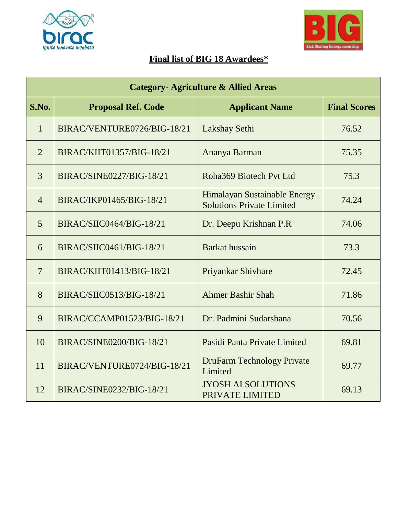



## **Final list of BIG 18 Awardees\***

| <b>Category- Agriculture &amp; Allied Areas</b> |                             |                                                                  |                     |
|-------------------------------------------------|-----------------------------|------------------------------------------------------------------|---------------------|
| S.No.                                           | <b>Proposal Ref. Code</b>   | <b>Applicant Name</b>                                            | <b>Final Scores</b> |
| $\mathbf{1}$                                    | BIRAC/VENTURE0726/BIG-18/21 | Lakshay Sethi                                                    | 76.52               |
| $\overline{2}$                                  | BIRAC/KIIT01357/BIG-18/21   | Ananya Barman                                                    | 75.35               |
| 3                                               | BIRAC/SINE0227/BIG-18/21    | Roha369 Biotech Pvt Ltd                                          | 75.3                |
| $\overline{4}$                                  | BIRAC/IKP01465/BIG-18/21    | Himalayan Sustainable Energy<br><b>Solutions Private Limited</b> | 74.24               |
| 5                                               | BIRAC/SIIC0464/BIG-18/21    | Dr. Deepu Krishnan P.R                                           | 74.06               |
| 6                                               | BIRAC/SIIC0461/BIG-18/21    | <b>Barkat</b> hussain                                            | 73.3                |
| $\overline{7}$                                  | BIRAC/KIIT01413/BIG-18/21   | Priyankar Shivhare                                               | 72.45               |
| 8                                               | BIRAC/SIIC0513/BIG-18/21    | <b>Ahmer Bashir Shah</b>                                         | 71.86               |
| 9                                               | BIRAC/CCAMP01523/BIG-18/21  | Dr. Padmini Sudarshana                                           | 70.56               |
| 10                                              | BIRAC/SINE0200/BIG-18/21    | Pasidi Panta Private Limited                                     | 69.81               |
| 11                                              | BIRAC/VENTURE0724/BIG-18/21 | <b>DruFarm Technology Private</b><br>Limited                     | 69.77               |
| 12                                              | BIRAC/SINE0232/BIG-18/21    | <b>JYOSH AI SOLUTIONS</b><br>PRIVATE LIMITED                     | 69.13               |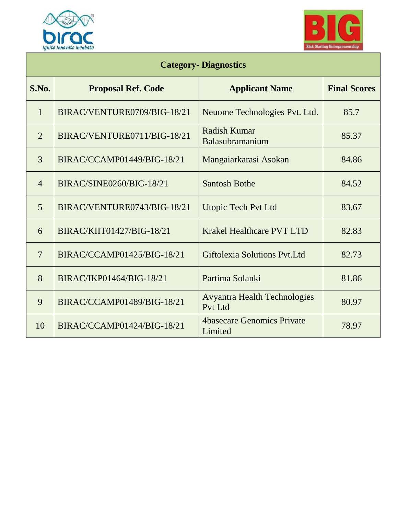



## **Category- Diagnostics**

| S.No.          | <b>Proposal Ref. Code</b>   | <b>Applicant Name</b>                          | <b>Final Scores</b> |
|----------------|-----------------------------|------------------------------------------------|---------------------|
| $\mathbf{1}$   | BIRAC/VENTURE0709/BIG-18/21 | Neuome Technologies Pvt. Ltd.                  | 85.7                |
| 2              | BIRAC/VENTURE0711/BIG-18/21 | <b>Radish Kumar</b><br>Balasubramanium         | 85.37               |
| 3              | BIRAC/CCAMP01449/BIG-18/21  | Mangaiarkarasi Asokan                          | 84.86               |
| $\overline{4}$ | BIRAC/SINE0260/BIG-18/21    | <b>Santosh Bothe</b>                           | 84.52               |
| $\overline{5}$ | BIRAC/VENTURE0743/BIG-18/21 | <b>Utopic Tech Pvt Ltd</b>                     | 83.67               |
| 6              | BIRAC/KIIT01427/BIG-18/21   | <b>Krakel Healthcare PVT LTD</b>               | 82.83               |
| $\overline{7}$ | BIRAC/CCAMP01425/BIG-18/21  | Giftolexia Solutions Pyt. Ltd                  | 82.73               |
| 8              | BIRAC/IKP01464/BIG-18/21    | Partima Solanki                                | 81.86               |
| 9              | BIRAC/CCAMP01489/BIG-18/21  | <b>Avyantra Health Technologies</b><br>Pvt Ltd | 80.97               |
| 10             | BIRAC/CCAMP01424/BIG-18/21  | <b>4basecare Genomics Private</b><br>Limited   | 78.97               |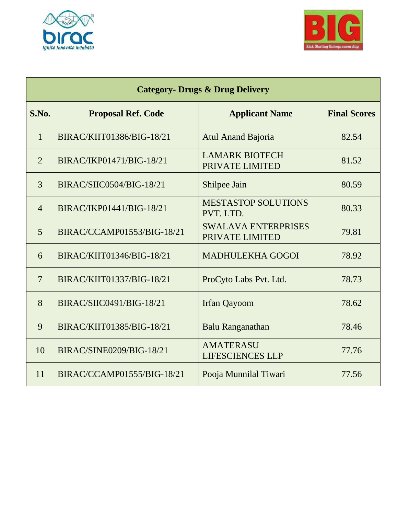



| <b>Category- Drugs &amp; Drug Delivery</b> |                            |                                               |                     |
|--------------------------------------------|----------------------------|-----------------------------------------------|---------------------|
| S.No.                                      | <b>Proposal Ref. Code</b>  | <b>Applicant Name</b>                         | <b>Final Scores</b> |
| $\mathbf{1}$                               | BIRAC/KIIT01386/BIG-18/21  | Atul Anand Bajoria                            | 82.54               |
| 2                                          | BIRAC/IKP01471/BIG-18/21   | <b>LAMARK BIOTECH</b><br>PRIVATE LIMITED      | 81.52               |
| 3                                          | BIRAC/SIIC0504/BIG-18/21   | Shilpee Jain                                  | 80.59               |
| $\overline{4}$                             | BIRAC/IKP01441/BIG-18/21   | <b>MESTASTOP SOLUTIONS</b><br>PVT. LTD.       | 80.33               |
| 5                                          | BIRAC/CCAMP01553/BIG-18/21 | <b>SWALAVA ENTERPRISES</b><br>PRIVATE LIMITED | 79.81               |
| 6                                          | BIRAC/KIIT01346/BIG-18/21  | <b>MADHULEKHA GOGOI</b>                       | 78.92               |
| $\overline{7}$                             | BIRAC/KIIT01337/BIG-18/21  | ProCyto Labs Pvt. Ltd.                        | 78.73               |
| 8                                          | BIRAC/SIIC0491/BIG-18/21   | <b>Irfan Qayoom</b>                           | 78.62               |
| 9                                          | BIRAC/KIIT01385/BIG-18/21  | <b>Balu Ranganathan</b>                       | 78.46               |
| 10                                         | BIRAC/SINE0209/BIG-18/21   | <b>AMATERASU</b><br><b>LIFESCIENCES LLP</b>   | 77.76               |
| 11                                         | BIRAC/CCAMP01555/BIG-18/21 | Pooja Munnilal Tiwari                         | 77.56               |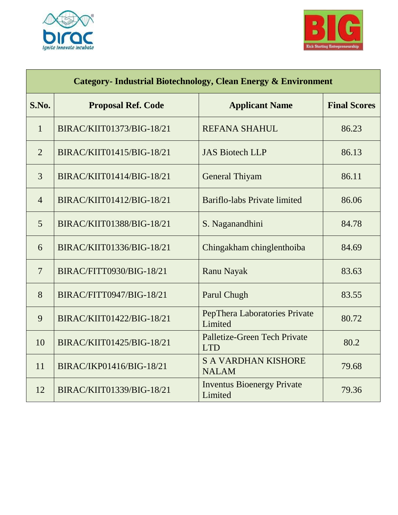

F



| Category- Industrial Biotechnology, Clean Energy & Environment |                           |                                              |                     |
|----------------------------------------------------------------|---------------------------|----------------------------------------------|---------------------|
| S.No.                                                          | <b>Proposal Ref. Code</b> | <b>Applicant Name</b>                        | <b>Final Scores</b> |
| $\mathbf{1}$                                                   | BIRAC/KIIT01373/BIG-18/21 | <b>REFANA SHAHUL</b>                         | 86.23               |
| $\overline{2}$                                                 | BIRAC/KIIT01415/BIG-18/21 | <b>JAS Biotech LLP</b>                       | 86.13               |
| 3                                                              | BIRAC/KIIT01414/BIG-18/21 | <b>General Thiyam</b>                        | 86.11               |
| $\overline{4}$                                                 | BIRAC/KIIT01412/BIG-18/21 | Bariflo-labs Private limited                 | 86.06               |
| 5                                                              | BIRAC/KIIT01388/BIG-18/21 | S. Naganandhini                              | 84.78               |
| 6                                                              | BIRAC/KIIT01336/BIG-18/21 | Chingakham chinglenthoiba                    | 84.69               |
| $\overline{7}$                                                 | BIRAC/FITT0930/BIG-18/21  | <b>Ranu Nayak</b>                            | 83.63               |
| 8                                                              | BIRAC/FITT0947/BIG-18/21  | <b>Parul Chugh</b>                           | 83.55               |
| 9                                                              | BIRAC/KIIT01422/BIG-18/21 | PepThera Laboratories Private<br>Limited     | 80.72               |
| 10                                                             | BIRAC/KIIT01425/BIG-18/21 | Palletize-Green Tech Private<br><b>LTD</b>   | 80.2                |
| 11                                                             | BIRAC/IKP01416/BIG-18/21  | <b>S A VARDHAN KISHORE</b><br><b>NALAM</b>   | 79.68               |
| 12                                                             | BIRAC/KIIT01339/BIG-18/21 | <b>Inventus Bioenergy Private</b><br>Limited | 79.36               |